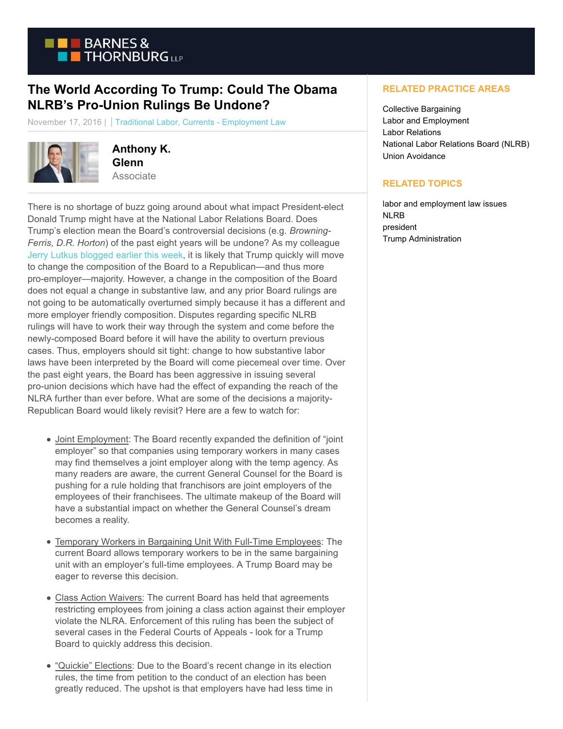

## **The World According To Trump: Could The Obama NLRB's Pro-Union Rulings Be Undone?**

November 17, 2016 | Traditional Labor, Currents - Employment Law



**Anthony K. Glenn** Associate

There is no shortage of buzz going around about what impact President-elect Donald Trump might have at the National Labor Relations Board. Does Trump's election mean the Board's controversial decisions (e.g. *Browning-Ferris, D.R. Horton*) of the past eight years will be undone? As my colleague [Jerry Lutkus blogged earlier this week,](http://www.btlaborrelations.com/the-trump-presidency-and-the-nlrb-change-may-come-slowly/) it is likely that Trump quickly will move to change the composition of the Board to a Republican—and thus more pro-employer—majority. However, a change in the composition of the Board does not equal a change in substantive law, and any prior Board rulings are not going to be automatically overturned simply because it has a different and more employer friendly composition. Disputes regarding specific NLRB rulings will have to work their way through the system and come before the newly-composed Board before it will have the ability to overturn previous cases. Thus, employers should sit tight: change to how substantive labor laws have been interpreted by the Board will come piecemeal over time. Over the past eight years, the Board has been aggressive in issuing several pro-union decisions which have had the effect of expanding the reach of the NLRA further than ever before. What are some of the decisions a majority-Republican Board would likely revisit? Here are a few to watch for:

- Joint Employment: The Board recently expanded the definition of "joint employer" so that companies using temporary workers in many cases may find themselves a joint employer along with the temp agency. As many readers are aware, the current General Counsel for the Board is pushing for a rule holding that franchisors are joint employers of the employees of their franchisees. The ultimate makeup of the Board will have a substantial impact on whether the General Counsel's dream becomes a reality.
- Temporary Workers in Bargaining Unit With Full-Time Employees: The  $\bullet$ current Board allows temporary workers to be in the same bargaining unit with an employer's full-time employees. A Trump Board may be eager to reverse this decision.
- Class Action Waivers: The current Board has held that agreements restricting employees from joining a class action against their employer violate the NLRA. Enforcement of this ruling has been the subject of several cases in the Federal Courts of Appeals - look for a Trump Board to quickly address this decision.
- "Quickie" Elections: Due to the Board's recent change in its election rules, the time from petition to the conduct of an election has been greatly reduced. The upshot is that employers have had less time in

## **RELATED PRACTICE AREAS**

Collective Bargaining Labor and Employment Labor Relations National Labor Relations Board (NLRB) Union Avoidance

## **RELATED TOPICS**

labor and employment law issues NLRB president Trump Administration